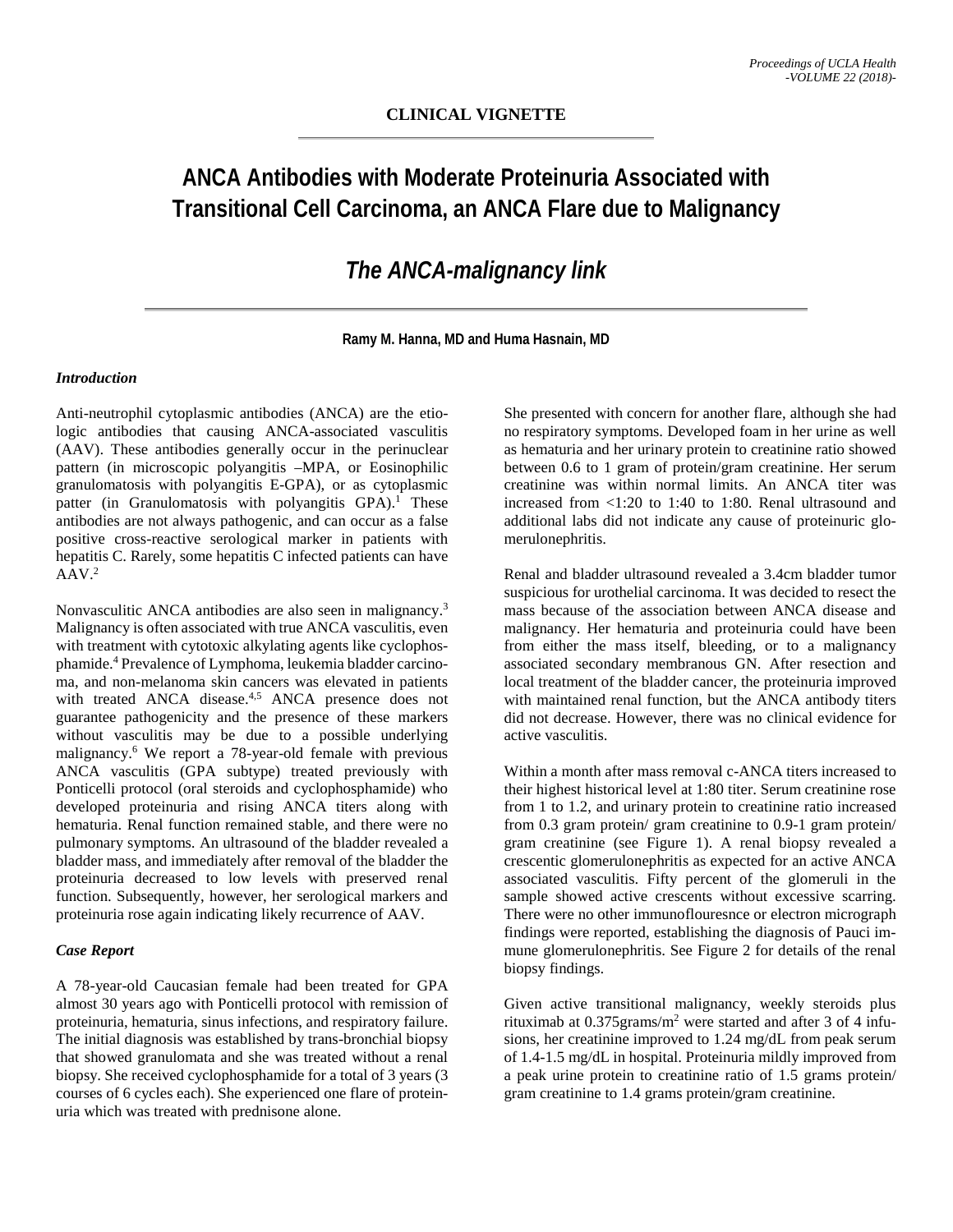# **ANCA Antibodies with Moderate Proteinuria Associated with Transitional Cell Carcinoma, an ANCA Flare due to Malignancy**

## *The ANCA-malignancy link*

**Ramy M. Hanna, MD and Huma Hasnain, MD**

## *Introduction*

Anti-neutrophil cytoplasmic antibodies (ANCA) are the etiologic antibodies that causing ANCA-associated vasculitis (AAV). These antibodies generally occur in the perinuclear pattern (in microscopic polyangitis –MPA, or Eosinophilic granulomatosis with polyangitis E-GPA), or as cytoplasmic patter (in Granulomatosis with polyangitis GPA).<sup>1</sup> These antibodies are not always pathogenic, and can occur as a false positive cross-reactive serological marker in patients with hepatitis C. Rarely, some hepatitis C infected patients can have  $AAV.<sup>2</sup>$ 

Nonvasculitic ANCA antibodies are also seen in malignancy.<sup>3</sup> Malignancy is often associated with true ANCA vasculitis, even with treatment with cytotoxic alkylating agents like cyclophosphamide. <sup>4</sup> Prevalence of Lymphoma, leukemia bladder carcinoma, and non-melanoma skin cancers was elevated in patients with treated ANCA disease.<sup>4,5</sup> ANCA presence does not guarantee pathogenicity and the presence of these markers without vasculitis may be due to a possible underlying malignancy. <sup>6</sup> We report a 78-year-old female with previous ANCA vasculitis (GPA subtype) treated previously with Ponticelli protocol (oral steroids and cyclophosphamide) who developed proteinuria and rising ANCA titers along with hematuria. Renal function remained stable, and there were no pulmonary symptoms. An ultrasound of the bladder revealed a bladder mass, and immediately after removal of the bladder the proteinuria decreased to low levels with preserved renal function. Subsequently, however, her serological markers and proteinuria rose again indicating likely recurrence of AAV.

## *Case Report*

A 78-year-old Caucasian female had been treated for GPA almost 30 years ago with Ponticelli protocol with remission of proteinuria, hematuria, sinus infections, and respiratory failure. The initial diagnosis was established by trans-bronchial biopsy that showed granulomata and she was treated without a renal biopsy. She received cyclophosphamide for a total of 3 years (3 courses of 6 cycles each). She experienced one flare of proteinuria which was treated with prednisone alone.

She presented with concern for another flare, although she had no respiratory symptoms. Developed foam in her urine as well as hematuria and her urinary protein to creatinine ratio showed between 0.6 to 1 gram of protein/gram creatinine. Her serum creatinine was within normal limits. An ANCA titer was increased from <1:20 to 1:40 to 1:80. Renal ultrasound and additional labs did not indicate any cause of proteinuric glomerulonephritis.

Renal and bladder ultrasound revealed a 3.4cm bladder tumor suspicious for urothelial carcinoma. It was decided to resect the mass because of the association between ANCA disease and malignancy. Her hematuria and proteinuria could have been from either the mass itself, bleeding, or to a malignancy associated secondary membranous GN. After resection and local treatment of the bladder cancer, the proteinuria improved with maintained renal function, but the ANCA antibody titers did not decrease. However, there was no clinical evidence for active vasculitis.

Within a month after mass removal c-ANCA titers increased to their highest historical level at 1:80 titer. Serum creatinine rose from 1 to 1.2, and urinary protein to creatinine ratio increased from 0.3 gram protein/ gram creatinine to 0.9-1 gram protein/ gram creatinine (see Figure 1). A renal biopsy revealed a crescentic glomerulonephritis as expected for an active ANCA associated vasculitis. Fifty percent of the glomeruli in the sample showed active crescents without excessive scarring. There were no other immunoflouresnce or electron micrograph findings were reported, establishing the diagnosis of Pauci immune glomerulonephritis. See Figure 2 for details of the renal biopsy findings.

Given active transitional malignancy, weekly steroids plus rituximab at 0.375grams/m2 were started and after 3 of 4 infusions, her creatinine improved to 1.24 mg/dL from peak serum of 1.4-1.5 mg/dL in hospital. Proteinuria mildly improved from a peak urine protein to creatinine ratio of 1.5 grams protein/ gram creatinine to 1.4 grams protein/gram creatinine.